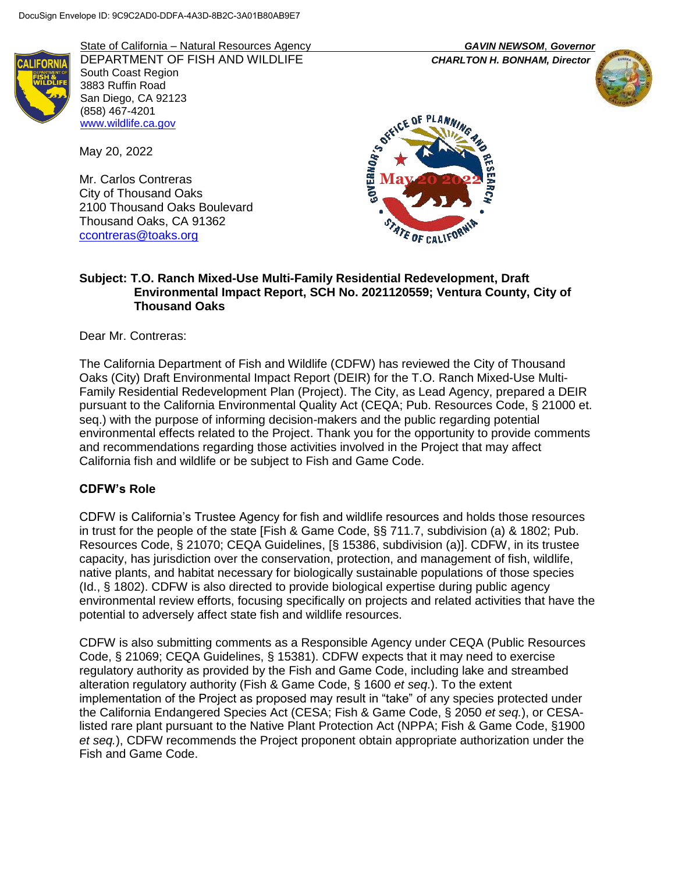

State of California – Natural Resources Agency *GAVIN NEWSOM*, *Governor* DEPARTMENT OF FISH AND WILDLIFE *CHARLTON H. BONHAM, Director* South Coast Region 3883 Ruffin Road San Diego, CA 92123 (858) 467-4201 [www.wildlife.ca.gov](http://www.wildlife.ca.gov/)

May 20, 2022

Mr. Carlos Contreras City of Thousand Oaks 2100 Thousand Oaks Boulevard Thousand Oaks, CA 91362 [ccontreras@toaks.org](mailto:ccontreras@toaks.org)





#### **Subject: T.O. Ranch Mixed-Use Multi-Family Residential Redevelopment, Draft Environmental Impact Report, SCH No. 2021120559; Ventura County, City of Thousand Oaks**

Dear Mr. Contreras:

The California Department of Fish and Wildlife (CDFW) has reviewed the City of Thousand Oaks (City) Draft Environmental Impact Report (DEIR) for the T.O. Ranch Mixed-Use Multi-Family Residential Redevelopment Plan (Project). The City, as Lead Agency, prepared a DEIR pursuant to the California Environmental Quality Act (CEQA; Pub. Resources Code, § 21000 et. seq.) with the purpose of informing decision-makers and the public regarding potential environmental effects related to the Project. Thank you for the opportunity to provide comments and recommendations regarding those activities involved in the Project that may affect California fish and wildlife or be subject to Fish and Game Code.

### **CDFW's Role**

CDFW is California's Trustee Agency for fish and wildlife resources and holds those resources in trust for the people of the state [Fish & Game Code, §§ 711.7, subdivision (a) & 1802; Pub. Resources Code, § 21070; CEQA Guidelines, [§ 15386, subdivision (a)]. CDFW, in its trustee capacity, has jurisdiction over the conservation, protection, and management of fish, wildlife, native plants, and habitat necessary for biologically sustainable populations of those species (Id., § 1802). CDFW is also directed to provide biological expertise during public agency environmental review efforts, focusing specifically on projects and related activities that have the potential to adversely affect state fish and wildlife resources.

CDFW is also submitting comments as a Responsible Agency under CEQA (Public Resources Code, § 21069; CEQA Guidelines, § 15381). CDFW expects that it may need to exercise regulatory authority as provided by the Fish and Game Code, including lake and streambed alteration regulatory authority (Fish & Game Code, § 1600 *et seq*.). To the extent implementation of the Project as proposed may result in "take" of any species protected under the California Endangered Species Act (CESA; Fish & Game Code, § 2050 *et seq.*), or CESAlisted rare plant pursuant to the Native Plant Protection Act (NPPA; Fish & Game Code, §1900 *et seq.*), CDFW recommends the Project proponent obtain appropriate authorization under the Fish and Game Code.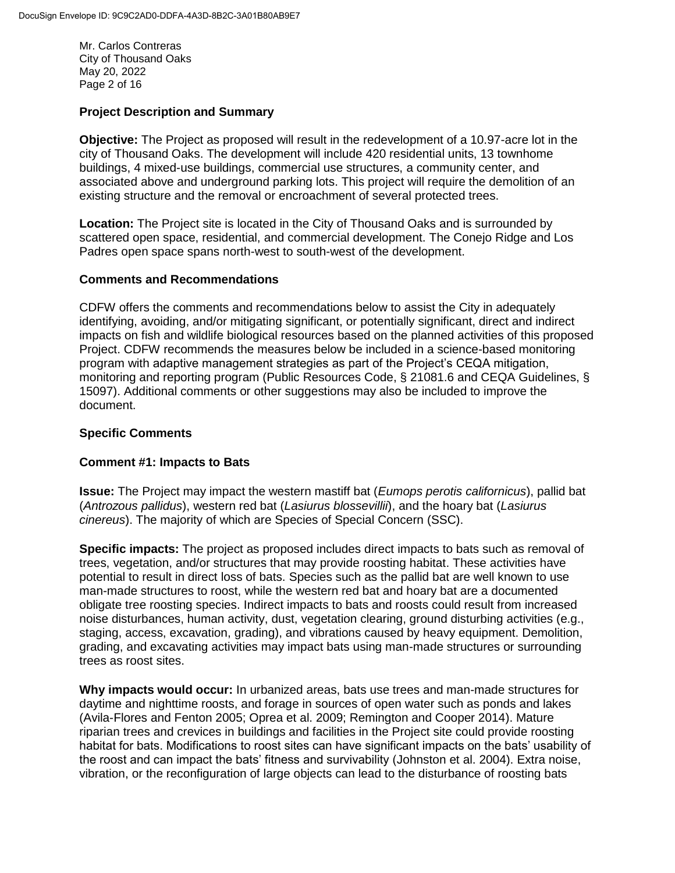Mr. Carlos Contreras City of Thousand Oaks May 20, 2022 Page 2 of 16

### **Project Description and Summary**

**Objective:** The Project as proposed will result in the redevelopment of a 10.97-acre lot in the city of Thousand Oaks. The development will include 420 residential units, 13 townhome buildings, 4 mixed-use buildings, commercial use structures, a community center, and associated above and underground parking lots. This project will require the demolition of an existing structure and the removal or encroachment of several protected trees.

**Location:** The Project site is located in the City of Thousand Oaks and is surrounded by scattered open space, residential, and commercial development. The Conejo Ridge and Los Padres open space spans north-west to south-west of the development.

### **Comments and Recommendations**

CDFW offers the comments and recommendations below to assist the City in adequately identifying, avoiding, and/or mitigating significant, or potentially significant, direct and indirect impacts on fish and wildlife biological resources based on the planned activities of this proposed Project. CDFW recommends the measures below be included in a science-based monitoring program with adaptive management strategies as part of the Project's CEQA mitigation, monitoring and reporting program (Public Resources Code, § 21081.6 and CEQA Guidelines, § 15097). Additional comments or other suggestions may also be included to improve the document.

### **Specific Comments**

### **Comment #1: Impacts to Bats**

**Issue:** The Project may impact the western mastiff bat (*Eumops perotis californicus*), pallid bat (*Antrozous pallidus*), western red bat (*Lasiurus blossevillii*), and the hoary bat (*Lasiurus cinereus*). The majority of which are Species of Special Concern (SSC).

**Specific impacts:** The project as proposed includes direct impacts to bats such as removal of trees, vegetation, and/or structures that may provide roosting habitat. These activities have potential to result in direct loss of bats. Species such as the pallid bat are well known to use man-made structures to roost, while the western red bat and hoary bat are a documented obligate tree roosting species. Indirect impacts to bats and roosts could result from increased noise disturbances, human activity, dust, vegetation clearing, ground disturbing activities (e.g., staging, access, excavation, grading), and vibrations caused by heavy equipment. Demolition, grading, and excavating activities may impact bats using man-made structures or surrounding trees as roost sites.

**Why impacts would occur:** In urbanized areas, bats use trees and man-made structures for daytime and nighttime roosts, and forage in sources of open water such as ponds and lakes (Avila-Flores and Fenton 2005; Oprea et al. 2009; Remington and Cooper 2014). Mature riparian trees and crevices in buildings and facilities in the Project site could provide roosting habitat for bats. Modifications to roost sites can have significant impacts on the bats' usability of the roost and can impact the bats' fitness and survivability (Johnston et al. 2004). Extra noise, vibration, or the reconfiguration of large objects can lead to the disturbance of roosting bats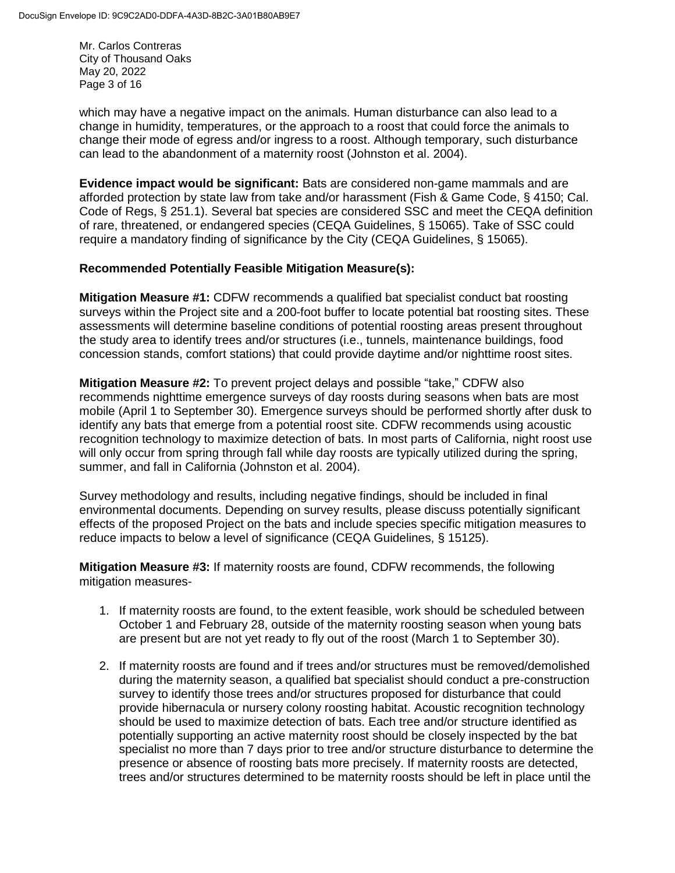Mr. Carlos Contreras City of Thousand Oaks May 20, 2022 Page 3 of 16

which may have a negative impact on the animals. Human disturbance can also lead to a change in humidity, temperatures, or the approach to a roost that could force the animals to change their mode of egress and/or ingress to a roost. Although temporary, such disturbance can lead to the abandonment of a maternity roost (Johnston et al. 2004).

**Evidence impact would be significant:** Bats are considered non-game mammals and are afforded protection by state law from take and/or harassment (Fish & Game Code, § 4150; Cal. Code of Regs, § 251.1). Several bat species are considered SSC and meet the CEQA definition of rare, threatened, or endangered species (CEQA Guidelines, § 15065). Take of SSC could require a mandatory finding of significance by the City (CEQA Guidelines, § 15065).

#### **Recommended Potentially Feasible Mitigation Measure(s):**

**Mitigation Measure #1:** CDFW recommends a qualified bat specialist conduct bat roosting surveys within the Project site and a 200-foot buffer to locate potential bat roosting sites. These assessments will determine baseline conditions of potential roosting areas present throughout the study area to identify trees and/or structures (i.e., tunnels, maintenance buildings, food concession stands, comfort stations) that could provide daytime and/or nighttime roost sites.

**Mitigation Measure #2:** To prevent project delays and possible "take," CDFW also recommends nighttime emergence surveys of day roosts during seasons when bats are most mobile (April 1 to September 30). Emergence surveys should be performed shortly after dusk to identify any bats that emerge from a potential roost site. CDFW recommends using acoustic recognition technology to maximize detection of bats. In most parts of California, night roost use will only occur from spring through fall while day roosts are typically utilized during the spring, summer, and fall in California (Johnston et al. 2004).

Survey methodology and results, including negative findings, should be included in final environmental documents. Depending on survey results, please discuss potentially significant effects of the proposed Project on the bats and include species specific mitigation measures to reduce impacts to below a level of significance (CEQA Guidelines, § 15125).

**Mitigation Measure #3:** If maternity roosts are found, CDFW recommends, the following mitigation measures-

- 1. If maternity roosts are found, to the extent feasible, work should be scheduled between October 1 and February 28, outside of the maternity roosting season when young bats are present but are not yet ready to fly out of the roost (March 1 to September 30).
- 2. If maternity roosts are found and if trees and/or structures must be removed/demolished during the maternity season, a qualified bat specialist should conduct a pre-construction survey to identify those trees and/or structures proposed for disturbance that could provide hibernacula or nursery colony roosting habitat. Acoustic recognition technology should be used to maximize detection of bats. Each tree and/or structure identified as potentially supporting an active maternity roost should be closely inspected by the bat specialist no more than 7 days prior to tree and/or structure disturbance to determine the presence or absence of roosting bats more precisely. If maternity roosts are detected, trees and/or structures determined to be maternity roosts should be left in place until the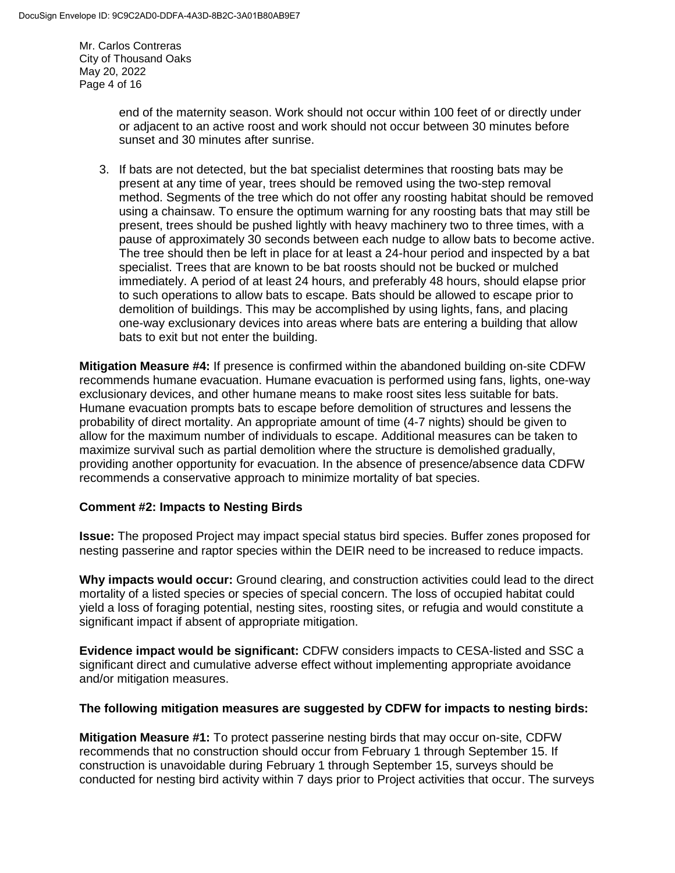Mr. Carlos Contreras City of Thousand Oaks May 20, 2022 Page 4 of 16

> end of the maternity season. Work should not occur within 100 feet of or directly under or adjacent to an active roost and work should not occur between 30 minutes before sunset and 30 minutes after sunrise.

3. If bats are not detected, but the bat specialist determines that roosting bats may be present at any time of year, trees should be removed using the two-step removal method. Segments of the tree which do not offer any roosting habitat should be removed using a chainsaw. To ensure the optimum warning for any roosting bats that may still be present, trees should be pushed lightly with heavy machinery two to three times, with a pause of approximately 30 seconds between each nudge to allow bats to become active. The tree should then be left in place for at least a 24-hour period and inspected by a bat specialist. Trees that are known to be bat roosts should not be bucked or mulched immediately. A period of at least 24 hours, and preferably 48 hours, should elapse prior to such operations to allow bats to escape. Bats should be allowed to escape prior to demolition of buildings. This may be accomplished by using lights, fans, and placing one-way exclusionary devices into areas where bats are entering a building that allow bats to exit but not enter the building.

**Mitigation Measure #4:** If presence is confirmed within the abandoned building on-site CDFW recommends humane evacuation. Humane evacuation is performed using fans, lights, one-way exclusionary devices, and other humane means to make roost sites less suitable for bats. Humane evacuation prompts bats to escape before demolition of structures and lessens the probability of direct mortality. An appropriate amount of time (4-7 nights) should be given to allow for the maximum number of individuals to escape. Additional measures can be taken to maximize survival such as partial demolition where the structure is demolished gradually, providing another opportunity for evacuation. In the absence of presence/absence data CDFW recommends a conservative approach to minimize mortality of bat species.

### **Comment #2: Impacts to Nesting Birds**

**Issue:** The proposed Project may impact special status bird species. Buffer zones proposed for nesting passerine and raptor species within the DEIR need to be increased to reduce impacts.

**Why impacts would occur:** Ground clearing, and construction activities could lead to the direct mortality of a listed species or species of special concern. The loss of occupied habitat could yield a loss of foraging potential, nesting sites, roosting sites, or refugia and would constitute a significant impact if absent of appropriate mitigation.

**Evidence impact would be significant:** CDFW considers impacts to CESA-listed and SSC a significant direct and cumulative adverse effect without implementing appropriate avoidance and/or mitigation measures.

#### **The following mitigation measures are suggested by CDFW for impacts to nesting birds:**

**Mitigation Measure #1:** To protect passerine nesting birds that may occur on-site, CDFW recommends that no construction should occur from February 1 through September 15. If construction is unavoidable during February 1 through September 15, surveys should be conducted for nesting bird activity within 7 days prior to Project activities that occur. The surveys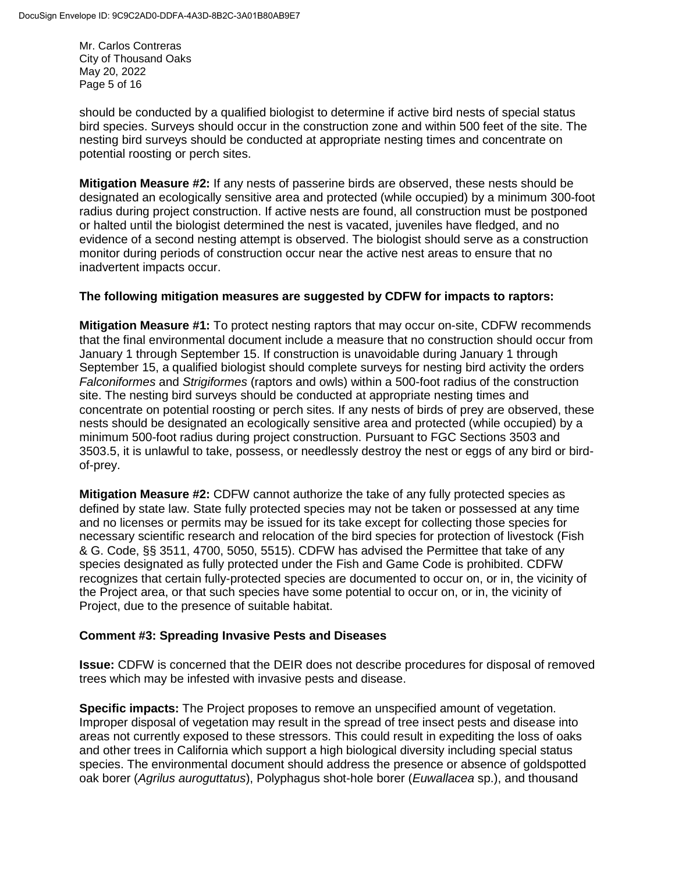Mr. Carlos Contreras City of Thousand Oaks May 20, 2022 Page 5 of 16

should be conducted by a qualified biologist to determine if active bird nests of special status bird species. Surveys should occur in the construction zone and within 500 feet of the site. The nesting bird surveys should be conducted at appropriate nesting times and concentrate on potential roosting or perch sites.

**Mitigation Measure #2:** If any nests of passerine birds are observed, these nests should be designated an ecologically sensitive area and protected (while occupied) by a minimum 300-foot radius during project construction. If active nests are found, all construction must be postponed or halted until the biologist determined the nest is vacated, juveniles have fledged, and no evidence of a second nesting attempt is observed. The biologist should serve as a construction monitor during periods of construction occur near the active nest areas to ensure that no inadvertent impacts occur.

#### **The following mitigation measures are suggested by CDFW for impacts to raptors:**

**Mitigation Measure #1:** To protect nesting raptors that may occur on-site, CDFW recommends that the final environmental document include a measure that no construction should occur from January 1 through September 15. If construction is unavoidable during January 1 through September 15, a qualified biologist should complete surveys for nesting bird activity the orders *Falconiformes* and *Strigiformes* (raptors and owls) within a 500-foot radius of the construction site. The nesting bird surveys should be conducted at appropriate nesting times and concentrate on potential roosting or perch sites. If any nests of birds of prey are observed, these nests should be designated an ecologically sensitive area and protected (while occupied) by a minimum 500-foot radius during project construction. Pursuant to FGC Sections 3503 and 3503.5, it is unlawful to take, possess, or needlessly destroy the nest or eggs of any bird or birdof-prey.

**Mitigation Measure #2:** CDFW cannot authorize the take of any fully protected species as defined by state law. State fully protected species may not be taken or possessed at any time and no licenses or permits may be issued for its take except for collecting those species for necessary scientific research and relocation of the bird species for protection of livestock (Fish & G. Code, §§ 3511, 4700, 5050, 5515). CDFW has advised the Permittee that take of any species designated as fully protected under the Fish and Game Code is prohibited. CDFW recognizes that certain fully-protected species are documented to occur on, or in, the vicinity of the Project area, or that such species have some potential to occur on, or in, the vicinity of Project, due to the presence of suitable habitat.

### **Comment #3: Spreading Invasive Pests and Diseases**

**Issue:** CDFW is concerned that the DEIR does not describe procedures for disposal of removed trees which may be infested with invasive pests and disease.

**Specific impacts:** The Project proposes to remove an unspecified amount of vegetation. Improper disposal of vegetation may result in the spread of tree insect pests and disease into areas not currently exposed to these stressors. This could result in expediting the loss of oaks and other trees in California which support a high biological diversity including special status species. The environmental document should address the presence or absence of goldspotted oak borer (*Agrilus auroguttatus*), Polyphagus shot-hole borer (*Euwallacea* sp.), and thousand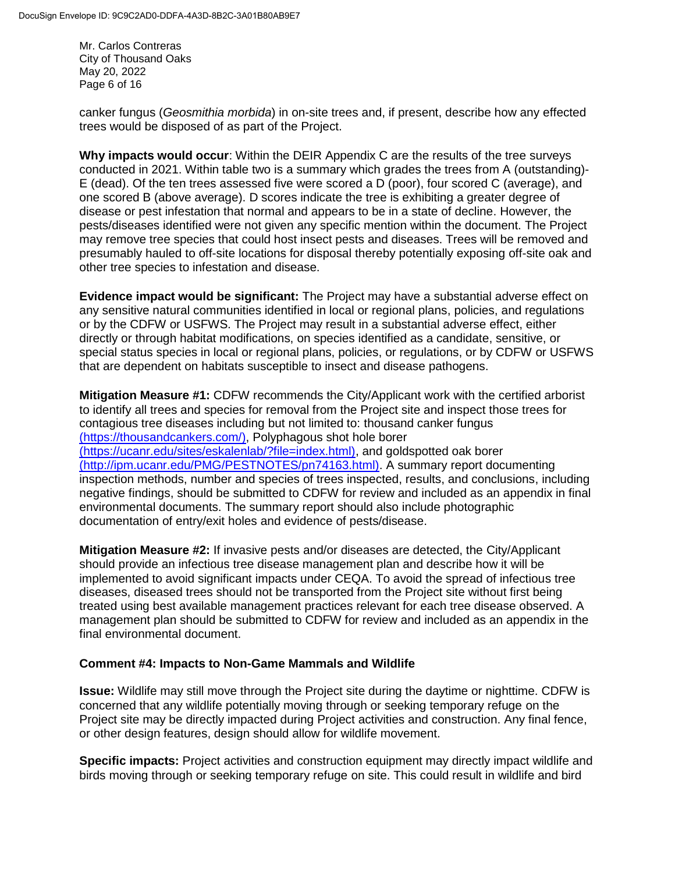Mr. Carlos Contreras City of Thousand Oaks May 20, 2022 Page 6 of 16

canker fungus (*Geosmithia morbida*) in on-site trees and, if present, describe how any effected trees would be disposed of as part of the Project.

**Why impacts would occur**: Within the DEIR Appendix C are the results of the tree surveys conducted in 2021. Within table two is a summary which grades the trees from A (outstanding)- E (dead). Of the ten trees assessed five were scored a D (poor), four scored C (average), and one scored B (above average). D scores indicate the tree is exhibiting a greater degree of disease or pest infestation that normal and appears to be in a state of decline. However, the pests/diseases identified were not given any specific mention within the document. The Project may remove tree species that could host insect pests and diseases. Trees will be removed and presumably hauled to off-site locations for disposal thereby potentially exposing off-site oak and other tree species to infestation and disease.

**Evidence impact would be significant:** The Project may have a substantial adverse effect on any sensitive natural communities identified in local or regional plans, policies, and regulations or by the CDFW or USFWS. The Project may result in a substantial adverse effect, either directly or through habitat modifications, on species identified as a candidate, sensitive, or special status species in local or regional plans, policies, or regulations, or by CDFW or USFWS that are dependent on habitats susceptible to insect and disease pathogens.

**Mitigation Measure #1:** CDFW recommends the City/Applicant work with the certified arborist to identify all trees and species for removal from the Project site and inspect those trees for contagious tree diseases including but not limited to: thousand canker fungus (https://thousandcankers.com/), Polyphagous shot hole borer (https://ucanr.edu/sites/eskalenlab/?file=index.html), and goldspotted oak borer (http://ipm.ucanr.edu/PMG/PESTNOTES/pn74163.html). A summary report documenting inspection methods, number and species of trees inspected, results, and conclusions, including negative findings, should be submitted to CDFW for review and included as an appendix in final environmental documents. The summary report should also include photographic documentation of entry/exit holes and evidence of pests/disease.

**Mitigation Measure #2:** If invasive pests and/or diseases are detected, the City/Applicant should provide an infectious tree disease management plan and describe how it will be implemented to avoid significant impacts under CEQA. To avoid the spread of infectious tree diseases, diseased trees should not be transported from the Project site without first being treated using best available management practices relevant for each tree disease observed. A management plan should be submitted to CDFW for review and included as an appendix in the final environmental document.

### **Comment #4: Impacts to Non-Game Mammals and Wildlife**

**Issue:** Wildlife may still move through the Project site during the daytime or nighttime. CDFW is concerned that any wildlife potentially moving through or seeking temporary refuge on the Project site may be directly impacted during Project activities and construction. Any final fence, or other design features, design should allow for wildlife movement.

**Specific impacts:** Project activities and construction equipment may directly impact wildlife and birds moving through or seeking temporary refuge on site. This could result in wildlife and bird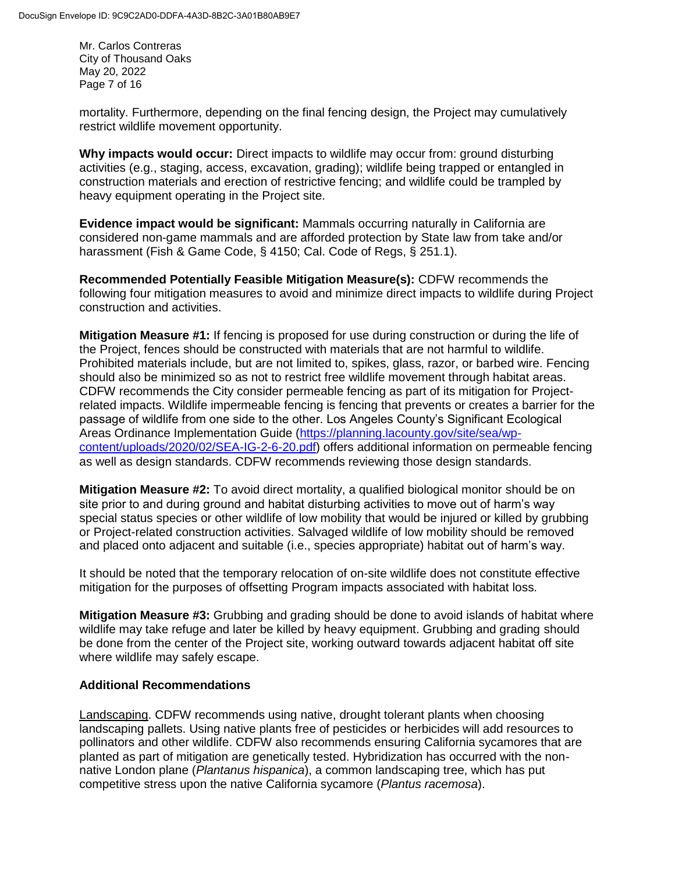Mr. Carlos Contreras City of Thousand Oaks May 20, 2022 Page 7 of 16

mortality. Furthermore, depending on the final fencing design, the Project may cumulatively restrict wildlife movement opportunity.

**Why impacts would occur:** Direct impacts to wildlife may occur from: ground disturbing activities (e.g., staging, access, excavation, grading); wildlife being trapped or entangled in construction materials and erection of restrictive fencing; and wildlife could be trampled by heavy equipment operating in the Project site.

**Evidence impact would be significant:** Mammals occurring naturally in California are considered non-game mammals and are afforded protection by State law from take and/or harassment (Fish & Game Code, § 4150; Cal. Code of Regs, § 251.1).

**Recommended Potentially Feasible Mitigation Measure(s):** CDFW recommends the following four mitigation measures to avoid and minimize direct impacts to wildlife during Project construction and activities.

**Mitigation Measure #1:** If fencing is proposed for use during construction or during the life of the Project, fences should be constructed with materials that are not harmful to wildlife. Prohibited materials include, but are not limited to, spikes, glass, razor, or barbed wire. Fencing should also be minimized so as not to restrict free wildlife movement through habitat areas. CDFW recommends the City consider permeable fencing as part of its mitigation for Projectrelated impacts. Wildlife impermeable fencing is fencing that prevents or creates a barrier for the passage of wildlife from one side to the other. Los Angeles County's Significant Ecological Areas Ordinance Implementation Guide [\(https://planning.lacounty.gov/site/sea/wp](https://planning.lacounty.gov/site/sea/wp-content/uploads/2020/02/SEA-IG-2-6-20.pdf)[content/uploads/2020/02/SEA-IG-2-6-20.pdf\)](https://planning.lacounty.gov/site/sea/wp-content/uploads/2020/02/SEA-IG-2-6-20.pdf) offers additional information on permeable fencing as well as design standards. CDFW recommends reviewing those design standards.

**Mitigation Measure #2:** To avoid direct mortality, a qualified biological monitor should be on site prior to and during ground and habitat disturbing activities to move out of harm's way special status species or other wildlife of low mobility that would be injured or killed by grubbing or Project-related construction activities. Salvaged wildlife of low mobility should be removed and placed onto adjacent and suitable (i.e., species appropriate) habitat out of harm's way.

It should be noted that the temporary relocation of on-site wildlife does not constitute effective mitigation for the purposes of offsetting Program impacts associated with habitat loss.

**Mitigation Measure #3:** Grubbing and grading should be done to avoid islands of habitat where wildlife may take refuge and later be killed by heavy equipment. Grubbing and grading should be done from the center of the Project site, working outward towards adjacent habitat off site where wildlife may safely escape.

### **Additional Recommendations**

Landscaping. CDFW recommends using native, drought tolerant plants when choosing landscaping pallets. Using native plants free of pesticides or herbicides will add resources to pollinators and other wildlife. CDFW also recommends ensuring California sycamores that are planted as part of mitigation are genetically tested. Hybridization has occurred with the nonnative London plane (*Plantanus hispanica*), a common landscaping tree, which has put competitive stress upon the native California sycamore (*Plantus racemosa*).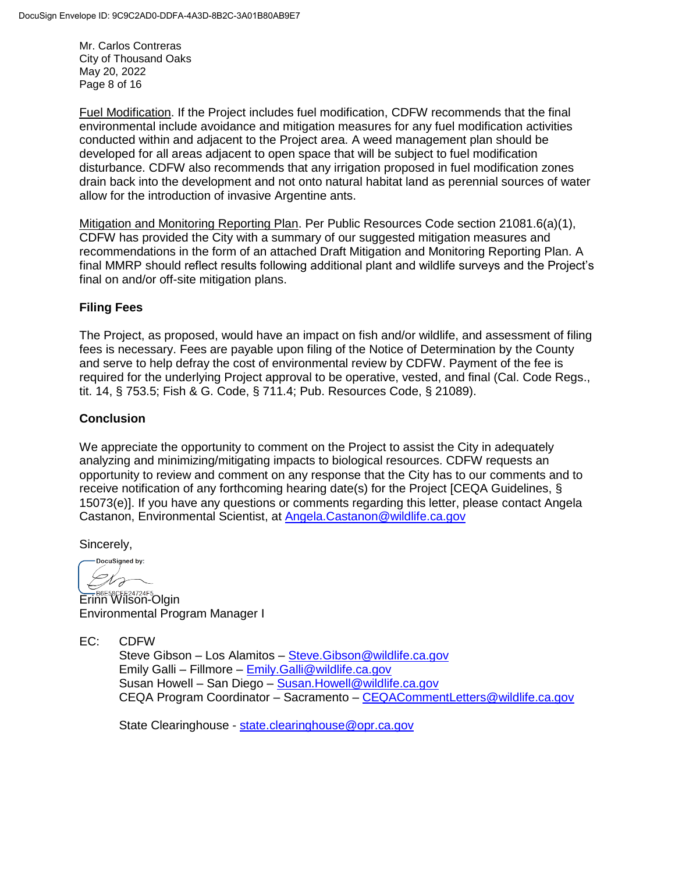Mr. Carlos Contreras City of Thousand Oaks May 20, 2022 Page 8 of 16

Fuel Modification. If the Project includes fuel modification, CDFW recommends that the final environmental include avoidance and mitigation measures for any fuel modification activities conducted within and adjacent to the Project area. A weed management plan should be developed for all areas adjacent to open space that will be subject to fuel modification disturbance. CDFW also recommends that any irrigation proposed in fuel modification zones drain back into the development and not onto natural habitat land as perennial sources of water allow for the introduction of invasive Argentine ants.

Mitigation and Monitoring Reporting Plan. Per Public Resources Code section 21081.6(a)(1), CDFW has provided the City with a summary of our suggested mitigation measures and recommendations in the form of an attached Draft Mitigation and Monitoring Reporting Plan. A final MMRP should reflect results following additional plant and wildlife surveys and the Project's final on and/or off-site mitigation plans.

### **Filing Fees**

The Project, as proposed, would have an impact on fish and/or wildlife, and assessment of filing fees is necessary. Fees are payable upon filing of the Notice of Determination by the County and serve to help defray the cost of environmental review by CDFW. Payment of the fee is required for the underlying Project approval to be operative, vested, and final (Cal. Code Regs., tit. 14, § 753.5; Fish & G. Code, § 711.4; Pub. Resources Code, § 21089).

## **Conclusion**

We appreciate the opportunity to comment on the Project to assist the City in adequately analyzing and minimizing/mitigating impacts to biological resources. CDFW requests an opportunity to review and comment on any response that the City has to our comments and to receive notification of any forthcoming hearing date(s) for the Project [CEQA Guidelines, § 15073(e)]. If you have any questions or comments regarding this letter, please contact Angela Castanon, Environmental Scientist, at [Angela.Castanon@wildlife.ca.gov](mailto:Baron.Barrera@wildlife.ca.gov)

Sincerely,

DocuSigned by: ts

EFB6E58CFE24724F5<br>Erinn Wilson-Olgin Environmental Program Manager I

EC: CDFW

Steve Gibson – Los Alamitos – [Steve.Gibson@wildlife.ca.gov](mailto:Steve.Gibson@wildlife.ca.gov) Emily Galli – Fillmore – [Emily.Galli@wildlife.ca.gov](mailto:Emily.Galli@wildlife.ca.gov) Susan Howell – San Diego – [Susan.Howell@wildlife.ca.gov](mailto:Susan.Howell@wildlife.ca.gov) CEQA Program Coordinator – Sacramento – [CEQACommentLetters@wildlife.ca.gov](mailto:CEQACommentLetters@wildlife.ca.gov) 

State Clearinghouse - [state.clearinghouse@opr.ca.gov](mailto:state.clearinghouse@opr.ca.gov)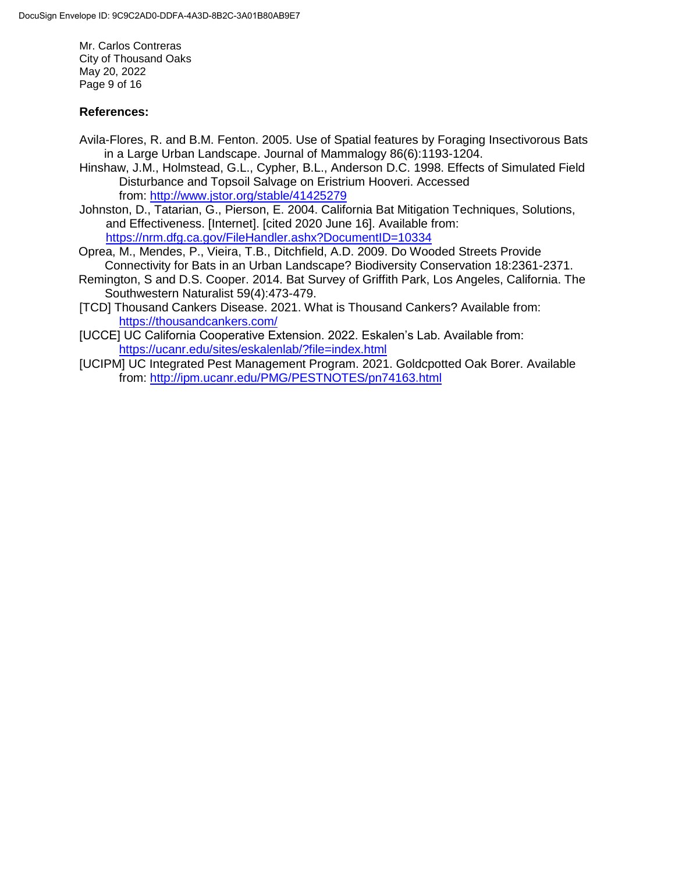Mr. Carlos Contreras City of Thousand Oaks May 20, 2022 Page 9 of 16

### **References:**

- Avila-Flores, R. and B.M. Fenton. 2005. Use of Spatial features by Foraging Insectivorous Bats in a Large Urban Landscape. Journal of Mammalogy 86(6):1193-1204.
- Hinshaw, J.M., Holmstead, G.L., Cypher, B.L., Anderson D.C. 1998. Effects of Simulated Field Disturbance and Topsoil Salvage on Eristrium Hooveri. Accessed from: <http://www.jstor.org/stable/41425279>
- Johnston, D., Tatarian, G., Pierson, E. 2004. California Bat Mitigation Techniques, Solutions, and Effectiveness. [Internet]. [cited 2020 June 16]. Available from: <https://nrm.dfg.ca.gov/FileHandler.ashx?DocumentID=10334>
- Oprea, M., Mendes, P., Vieira, T.B., Ditchfield, A.D. 2009. Do Wooded Streets Provide Connectivity for Bats in an Urban Landscape? Biodiversity Conservation 18:2361-2371.
- Remington, S and D.S. Cooper. 2014. Bat Survey of Griffith Park, Los Angeles, California. The Southwestern Naturalist 59(4):473-479.
- [TCD] Thousand Cankers Disease. 2021. What is Thousand Cankers? Available from: <https://thousandcankers.com/>
- [UCCE] UC California Cooperative Extension. 2022. Eskalen's Lab. Available from: <https://ucanr.edu/sites/eskalenlab/?file=index.html>
- [UCIPM] UC Integrated Pest Management Program. 2021. Goldcpotted Oak Borer. Available from:<http://ipm.ucanr.edu/PMG/PESTNOTES/pn74163.html>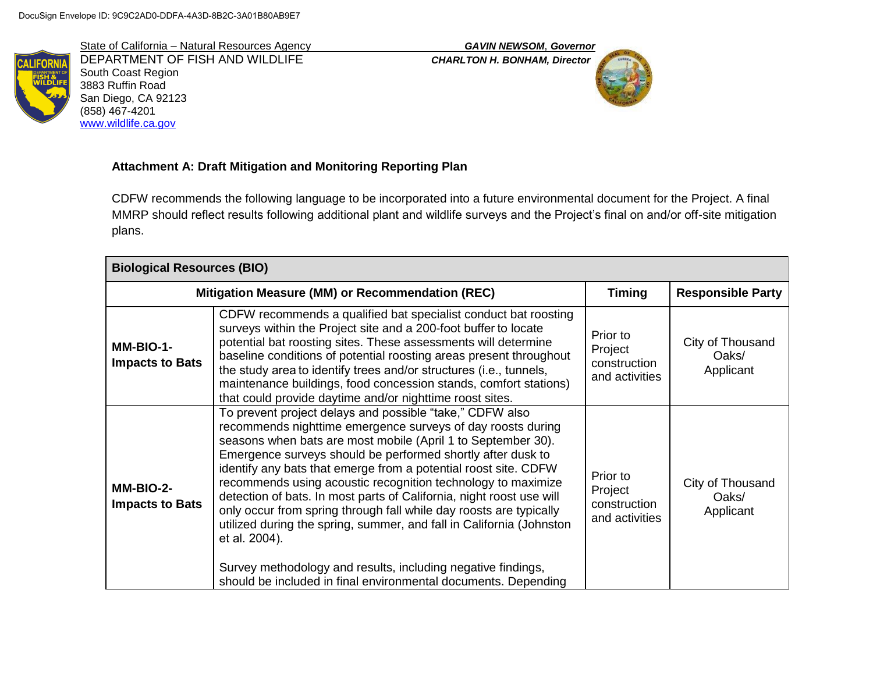State of California – Natural Resources Agency *GAVIN NEWSOM*, *Governor* DEPARTMENT OF FISH AND WILDLIFE *CHARLTON H. BONHAM, Director* South Coast Region 3883 Ruffin Road San Diego, CA 92123 (858) 467-4201 [www.wildlife.ca.gov](http://www.wildlife.ca.gov/)



# **Attachment A: Draft Mitigation and Monitoring Reporting Plan**

CDFW recommends the following language to be incorporated into a future environmental document for the Project. A final MMRP should reflect results following additional plant and wildlife surveys and the Project's final on and/or off-site mitigation plans.

| <b>Biological Resources (BIO)</b>               |                                                                                                                                                                                                                                                                                                                                                                                                                                                                                                                                                                                                                                                                                                                                                                    |                                                       |                                        |  |
|-------------------------------------------------|--------------------------------------------------------------------------------------------------------------------------------------------------------------------------------------------------------------------------------------------------------------------------------------------------------------------------------------------------------------------------------------------------------------------------------------------------------------------------------------------------------------------------------------------------------------------------------------------------------------------------------------------------------------------------------------------------------------------------------------------------------------------|-------------------------------------------------------|----------------------------------------|--|
| Mitigation Measure (MM) or Recommendation (REC) |                                                                                                                                                                                                                                                                                                                                                                                                                                                                                                                                                                                                                                                                                                                                                                    | <b>Timing</b>                                         | <b>Responsible Party</b>               |  |
| MM-BIO-1-<br><b>Impacts to Bats</b>             | CDFW recommends a qualified bat specialist conduct bat roosting<br>surveys within the Project site and a 200-foot buffer to locate<br>potential bat roosting sites. These assessments will determine<br>baseline conditions of potential roosting areas present throughout<br>the study area to identify trees and/or structures (i.e., tunnels,<br>maintenance buildings, food concession stands, comfort stations)<br>that could provide daytime and/or nighttime roost sites.                                                                                                                                                                                                                                                                                   | Prior to<br>Project<br>construction<br>and activities | City of Thousand<br>Oaks/<br>Applicant |  |
| MM-BIO-2-<br><b>Impacts to Bats</b>             | To prevent project delays and possible "take," CDFW also<br>recommends nighttime emergence surveys of day roosts during<br>seasons when bats are most mobile (April 1 to September 30).<br>Emergence surveys should be performed shortly after dusk to<br>identify any bats that emerge from a potential roost site. CDFW<br>recommends using acoustic recognition technology to maximize<br>detection of bats. In most parts of California, night roost use will<br>only occur from spring through fall while day roosts are typically<br>utilized during the spring, summer, and fall in California (Johnston<br>et al. 2004).<br>Survey methodology and results, including negative findings,<br>should be included in final environmental documents. Depending | Prior to<br>Project<br>construction<br>and activities | City of Thousand<br>Oaks/<br>Applicant |  |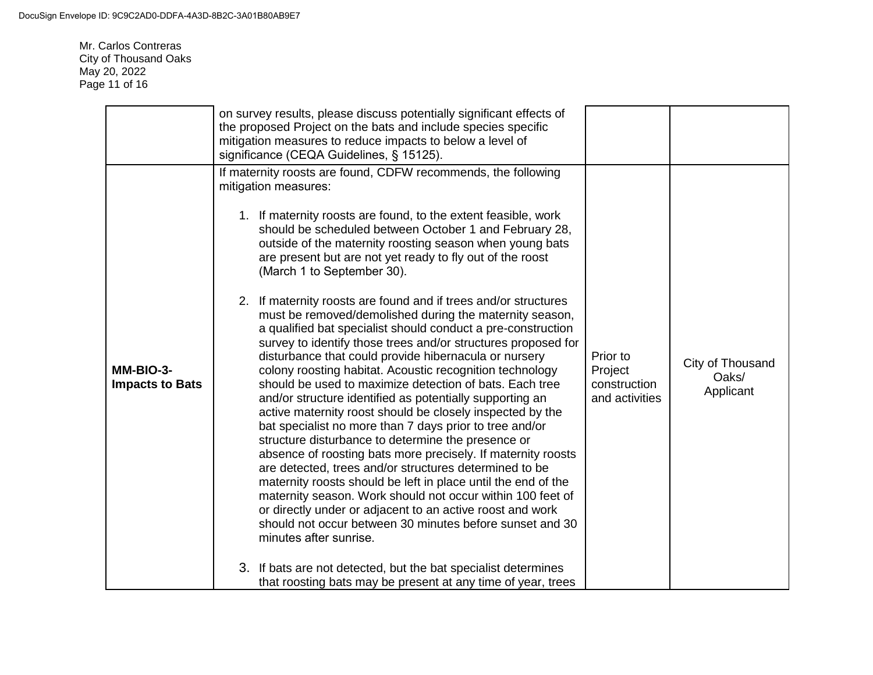Mr. Carlos Contreras City of Thousand Oaks May 20, 2022 Page 11 of 16

| MM-BIO-3-<br><b>Impacts to Bats</b> | on survey results, please discuss potentially significant effects of<br>the proposed Project on the bats and include species specific<br>mitigation measures to reduce impacts to below a level of<br>significance (CEQA Guidelines, § 15125).<br>If maternity roosts are found, CDFW recommends, the following<br>mitigation measures:<br>1. If maternity roosts are found, to the extent feasible, work<br>should be scheduled between October 1 and February 28,<br>outside of the maternity roosting season when young bats<br>are present but are not yet ready to fly out of the roost<br>(March 1 to September 30).<br>2. If maternity roosts are found and if trees and/or structures<br>must be removed/demolished during the maternity season,<br>a qualified bat specialist should conduct a pre-construction<br>survey to identify those trees and/or structures proposed for<br>disturbance that could provide hibernacula or nursery<br>colony roosting habitat. Acoustic recognition technology<br>should be used to maximize detection of bats. Each tree<br>and/or structure identified as potentially supporting an<br>active maternity roost should be closely inspected by the<br>bat specialist no more than 7 days prior to tree and/or<br>structure disturbance to determine the presence or<br>absence of roosting bats more precisely. If maternity roosts<br>are detected, trees and/or structures determined to be<br>maternity roosts should be left in place until the end of the<br>maternity season. Work should not occur within 100 feet of<br>or directly under or adjacent to an active roost and work | Prior to<br>Project<br>construction<br>and activities | City of Thousand<br>Oaks/<br>Applicant |
|-------------------------------------|-------------------------------------------------------------------------------------------------------------------------------------------------------------------------------------------------------------------------------------------------------------------------------------------------------------------------------------------------------------------------------------------------------------------------------------------------------------------------------------------------------------------------------------------------------------------------------------------------------------------------------------------------------------------------------------------------------------------------------------------------------------------------------------------------------------------------------------------------------------------------------------------------------------------------------------------------------------------------------------------------------------------------------------------------------------------------------------------------------------------------------------------------------------------------------------------------------------------------------------------------------------------------------------------------------------------------------------------------------------------------------------------------------------------------------------------------------------------------------------------------------------------------------------------------------------------------------------------------------------------------------------------|-------------------------------------------------------|----------------------------------------|
|                                     | should not occur between 30 minutes before sunset and 30<br>minutes after sunrise.<br>3. If bats are not detected, but the bat specialist determines<br>that roosting bats may be present at any time of year, trees                                                                                                                                                                                                                                                                                                                                                                                                                                                                                                                                                                                                                                                                                                                                                                                                                                                                                                                                                                                                                                                                                                                                                                                                                                                                                                                                                                                                                      |                                                       |                                        |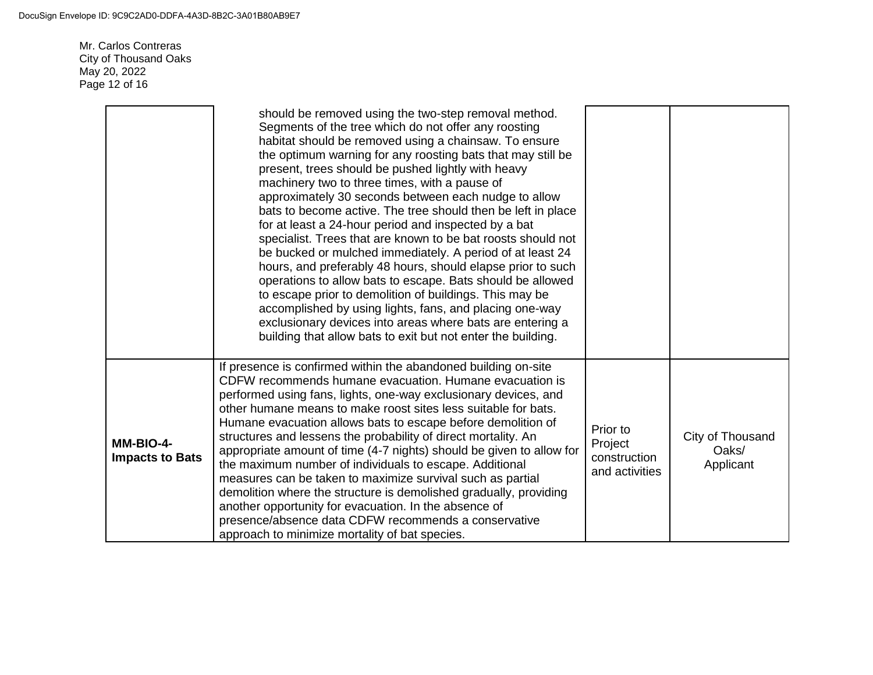Mr. Carlos Contreras City of Thousand Oaks May 20, 2022 Page 12 of 16

|                                     | should be removed using the two-step removal method.<br>Segments of the tree which do not offer any roosting<br>habitat should be removed using a chainsaw. To ensure<br>the optimum warning for any roosting bats that may still be<br>present, trees should be pushed lightly with heavy<br>machinery two to three times, with a pause of<br>approximately 30 seconds between each nudge to allow<br>bats to become active. The tree should then be left in place<br>for at least a 24-hour period and inspected by a bat<br>specialist. Trees that are known to be bat roosts should not<br>be bucked or mulched immediately. A period of at least 24<br>hours, and preferably 48 hours, should elapse prior to such<br>operations to allow bats to escape. Bats should be allowed<br>to escape prior to demolition of buildings. This may be<br>accomplished by using lights, fans, and placing one-way<br>exclusionary devices into areas where bats are entering a<br>building that allow bats to exit but not enter the building. |                                                       |                                        |
|-------------------------------------|------------------------------------------------------------------------------------------------------------------------------------------------------------------------------------------------------------------------------------------------------------------------------------------------------------------------------------------------------------------------------------------------------------------------------------------------------------------------------------------------------------------------------------------------------------------------------------------------------------------------------------------------------------------------------------------------------------------------------------------------------------------------------------------------------------------------------------------------------------------------------------------------------------------------------------------------------------------------------------------------------------------------------------------|-------------------------------------------------------|----------------------------------------|
| MM-BIO-4-<br><b>Impacts to Bats</b> | If presence is confirmed within the abandoned building on-site<br>CDFW recommends humane evacuation. Humane evacuation is<br>performed using fans, lights, one-way exclusionary devices, and<br>other humane means to make roost sites less suitable for bats.<br>Humane evacuation allows bats to escape before demolition of<br>structures and lessens the probability of direct mortality. An<br>appropriate amount of time (4-7 nights) should be given to allow for<br>the maximum number of individuals to escape. Additional<br>measures can be taken to maximize survival such as partial<br>demolition where the structure is demolished gradually, providing<br>another opportunity for evacuation. In the absence of<br>presence/absence data CDFW recommends a conservative<br>approach to minimize mortality of bat species.                                                                                                                                                                                                | Prior to<br>Project<br>construction<br>and activities | City of Thousand<br>Oaks/<br>Applicant |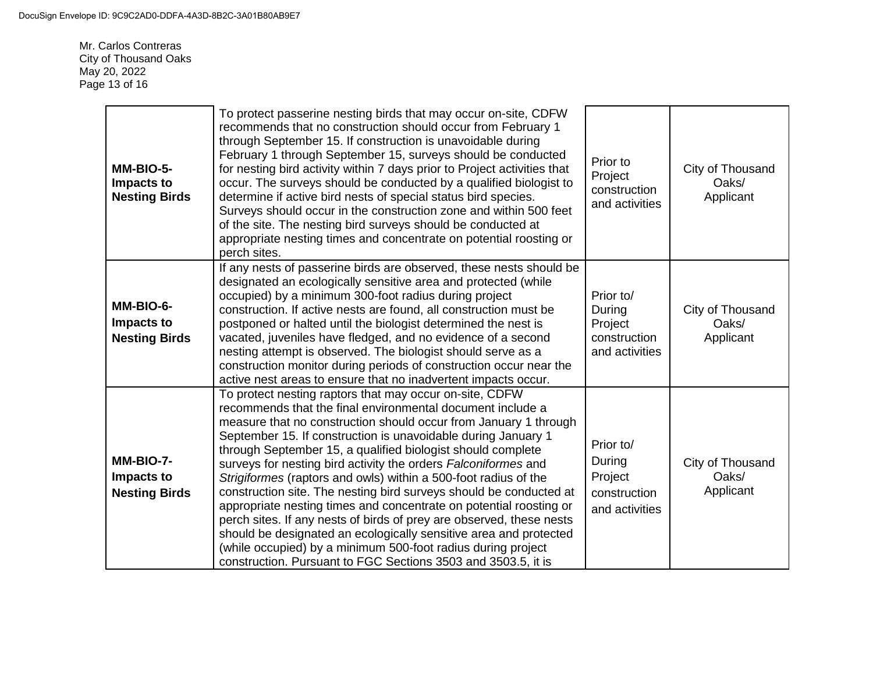Mr. Carlos Contreras City of Thousand Oaks May 20, 2022 Page 13 of 16

| MM-BIO-5-<br>Impacts to<br><b>Nesting Birds</b> | To protect passerine nesting birds that may occur on-site, CDFW<br>recommends that no construction should occur from February 1<br>through September 15. If construction is unavoidable during<br>February 1 through September 15, surveys should be conducted<br>for nesting bird activity within 7 days prior to Project activities that<br>occur. The surveys should be conducted by a qualified biologist to<br>determine if active bird nests of special status bird species.<br>Surveys should occur in the construction zone and within 500 feet<br>of the site. The nesting bird surveys should be conducted at<br>appropriate nesting times and concentrate on potential roosting or<br>perch sites.                                                                                                                                                                            | Prior to<br>Project<br>construction<br>and activities            | City of Thousand<br>Oaks/<br>Applicant |
|-------------------------------------------------|------------------------------------------------------------------------------------------------------------------------------------------------------------------------------------------------------------------------------------------------------------------------------------------------------------------------------------------------------------------------------------------------------------------------------------------------------------------------------------------------------------------------------------------------------------------------------------------------------------------------------------------------------------------------------------------------------------------------------------------------------------------------------------------------------------------------------------------------------------------------------------------|------------------------------------------------------------------|----------------------------------------|
| MM-BIO-6-<br>Impacts to<br><b>Nesting Birds</b> | If any nests of passerine birds are observed, these nests should be<br>designated an ecologically sensitive area and protected (while<br>occupied) by a minimum 300-foot radius during project<br>construction. If active nests are found, all construction must be<br>postponed or halted until the biologist determined the nest is<br>vacated, juveniles have fledged, and no evidence of a second<br>nesting attempt is observed. The biologist should serve as a<br>construction monitor during periods of construction occur near the<br>active nest areas to ensure that no inadvertent impacts occur.                                                                                                                                                                                                                                                                            | Prior to/<br>During<br>Project<br>construction<br>and activities | City of Thousand<br>Oaks/<br>Applicant |
| MM-BIO-7-<br>Impacts to<br><b>Nesting Birds</b> | To protect nesting raptors that may occur on-site, CDFW<br>recommends that the final environmental document include a<br>measure that no construction should occur from January 1 through<br>September 15. If construction is unavoidable during January 1<br>through September 15, a qualified biologist should complete<br>surveys for nesting bird activity the orders Falconiformes and<br>Strigiformes (raptors and owls) within a 500-foot radius of the<br>construction site. The nesting bird surveys should be conducted at<br>appropriate nesting times and concentrate on potential roosting or<br>perch sites. If any nests of birds of prey are observed, these nests<br>should be designated an ecologically sensitive area and protected<br>(while occupied) by a minimum 500-foot radius during project<br>construction. Pursuant to FGC Sections 3503 and 3503.5, it is | Prior to/<br>During<br>Project<br>construction<br>and activities | City of Thousand<br>Oaks/<br>Applicant |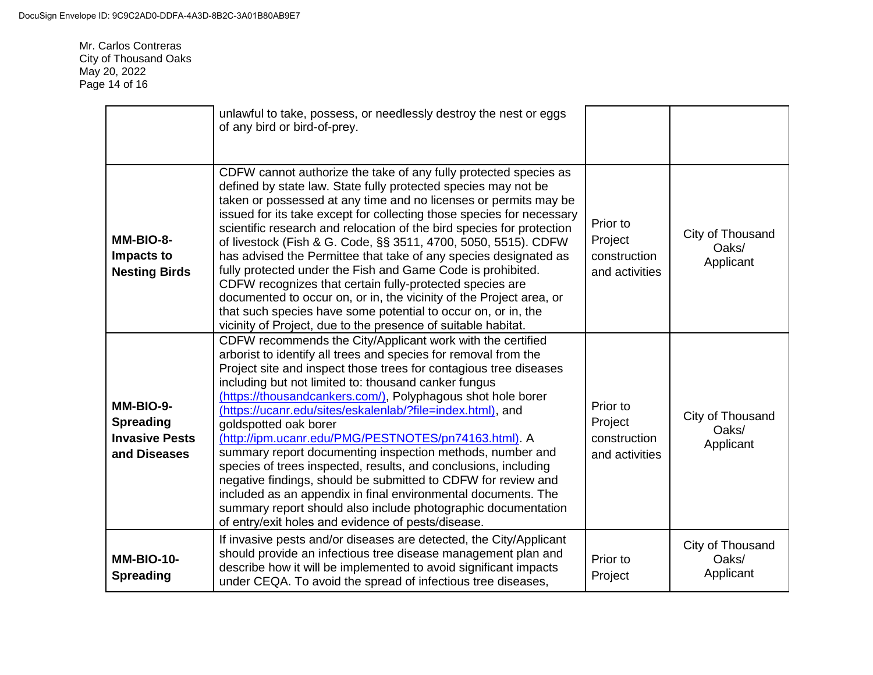Mr. Carlos Contreras City of Thousand Oaks May 20, 2022 Page 14 of 16

|                                                                        | unlawful to take, possess, or needlessly destroy the nest or eggs<br>of any bird or bird-of-prey.                                                                                                                                                                                                                                                                                                                                                                                                                                                                                                                                                                                                                                                                                                                                                                 |                                                       |                                        |
|------------------------------------------------------------------------|-------------------------------------------------------------------------------------------------------------------------------------------------------------------------------------------------------------------------------------------------------------------------------------------------------------------------------------------------------------------------------------------------------------------------------------------------------------------------------------------------------------------------------------------------------------------------------------------------------------------------------------------------------------------------------------------------------------------------------------------------------------------------------------------------------------------------------------------------------------------|-------------------------------------------------------|----------------------------------------|
| MM-BIO-8-<br>Impacts to<br><b>Nesting Birds</b>                        | CDFW cannot authorize the take of any fully protected species as<br>defined by state law. State fully protected species may not be<br>taken or possessed at any time and no licenses or permits may be<br>issued for its take except for collecting those species for necessary<br>scientific research and relocation of the bird species for protection<br>of livestock (Fish & G. Code, §§ 3511, 4700, 5050, 5515). CDFW<br>has advised the Permittee that take of any species designated as<br>fully protected under the Fish and Game Code is prohibited.<br>CDFW recognizes that certain fully-protected species are<br>documented to occur on, or in, the vicinity of the Project area, or<br>that such species have some potential to occur on, or in, the<br>vicinity of Project, due to the presence of suitable habitat.                                | Prior to<br>Project<br>construction<br>and activities | City of Thousand<br>Oaks/<br>Applicant |
| MM-BIO-9-<br><b>Spreading</b><br><b>Invasive Pests</b><br>and Diseases | CDFW recommends the City/Applicant work with the certified<br>arborist to identify all trees and species for removal from the<br>Project site and inspect those trees for contagious tree diseases<br>including but not limited to: thousand canker fungus<br>(https://thousandcankers.com/), Polyphagous shot hole borer<br>(https://ucanr.edu/sites/eskalenlab/?file=index.html), and<br>goldspotted oak borer<br>(http://ipm.ucanr.edu/PMG/PESTNOTES/pn74163.html). A<br>summary report documenting inspection methods, number and<br>species of trees inspected, results, and conclusions, including<br>negative findings, should be submitted to CDFW for review and<br>included as an appendix in final environmental documents. The<br>summary report should also include photographic documentation<br>of entry/exit holes and evidence of pests/disease. | Prior to<br>Project<br>construction<br>and activities | City of Thousand<br>Oaks/<br>Applicant |
| <b>MM-BIO-10-</b><br><b>Spreading</b>                                  | If invasive pests and/or diseases are detected, the City/Applicant<br>should provide an infectious tree disease management plan and<br>describe how it will be implemented to avoid significant impacts<br>under CEQA. To avoid the spread of infectious tree diseases,                                                                                                                                                                                                                                                                                                                                                                                                                                                                                                                                                                                           | Prior to<br>Project                                   | City of Thousand<br>Oaks/<br>Applicant |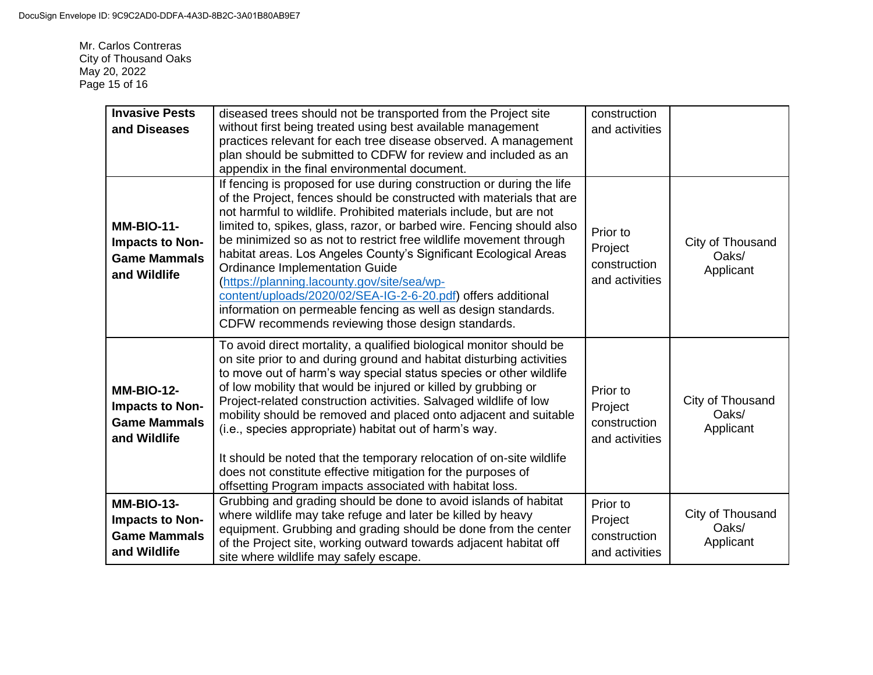Mr. Carlos Contreras City of Thousand Oaks May 20, 2022 Page 15 of 16

| <b>Invasive Pests</b><br>and Diseases                                       | diseased trees should not be transported from the Project site<br>without first being treated using best available management<br>practices relevant for each tree disease observed. A management<br>plan should be submitted to CDFW for review and included as an<br>appendix in the final environmental document.                                                                                                                                                                                                                                                                                                                                                                                                 | construction<br>and activities                        |                                        |
|-----------------------------------------------------------------------------|---------------------------------------------------------------------------------------------------------------------------------------------------------------------------------------------------------------------------------------------------------------------------------------------------------------------------------------------------------------------------------------------------------------------------------------------------------------------------------------------------------------------------------------------------------------------------------------------------------------------------------------------------------------------------------------------------------------------|-------------------------------------------------------|----------------------------------------|
| <b>MM-BIO-11-</b><br>Impacts to Non-<br><b>Game Mammals</b><br>and Wildlife | If fencing is proposed for use during construction or during the life<br>of the Project, fences should be constructed with materials that are<br>not harmful to wildlife. Prohibited materials include, but are not<br>limited to, spikes, glass, razor, or barbed wire. Fencing should also<br>be minimized so as not to restrict free wildlife movement through<br>habitat areas. Los Angeles County's Significant Ecological Areas<br><b>Ordinance Implementation Guide</b><br>(https://planning.lacounty.gov/site/sea/wp-<br>content/uploads/2020/02/SEA-IG-2-6-20.pdf) offers additional<br>information on permeable fencing as well as design standards.<br>CDFW recommends reviewing those design standards. | Prior to<br>Project<br>construction<br>and activities | City of Thousand<br>Oaks/<br>Applicant |
| <b>MM-BIO-12-</b><br>Impacts to Non-<br><b>Game Mammals</b><br>and Wildlife | To avoid direct mortality, a qualified biological monitor should be<br>on site prior to and during ground and habitat disturbing activities<br>to move out of harm's way special status species or other wildlife<br>of low mobility that would be injured or killed by grubbing or<br>Project-related construction activities. Salvaged wildlife of low<br>mobility should be removed and placed onto adjacent and suitable<br>(i.e., species appropriate) habitat out of harm's way.<br>It should be noted that the temporary relocation of on-site wildlife<br>does not constitute effective mitigation for the purposes of<br>offsetting Program impacts associated with habitat loss.                          | Prior to<br>Project<br>construction<br>and activities | City of Thousand<br>Oaks/<br>Applicant |
| <b>MM-BIO-13-</b><br>Impacts to Non-<br><b>Game Mammals</b><br>and Wildlife | Grubbing and grading should be done to avoid islands of habitat<br>where wildlife may take refuge and later be killed by heavy<br>equipment. Grubbing and grading should be done from the center<br>of the Project site, working outward towards adjacent habitat off<br>site where wildlife may safely escape.                                                                                                                                                                                                                                                                                                                                                                                                     | Prior to<br>Project<br>construction<br>and activities | City of Thousand<br>Oaks/<br>Applicant |